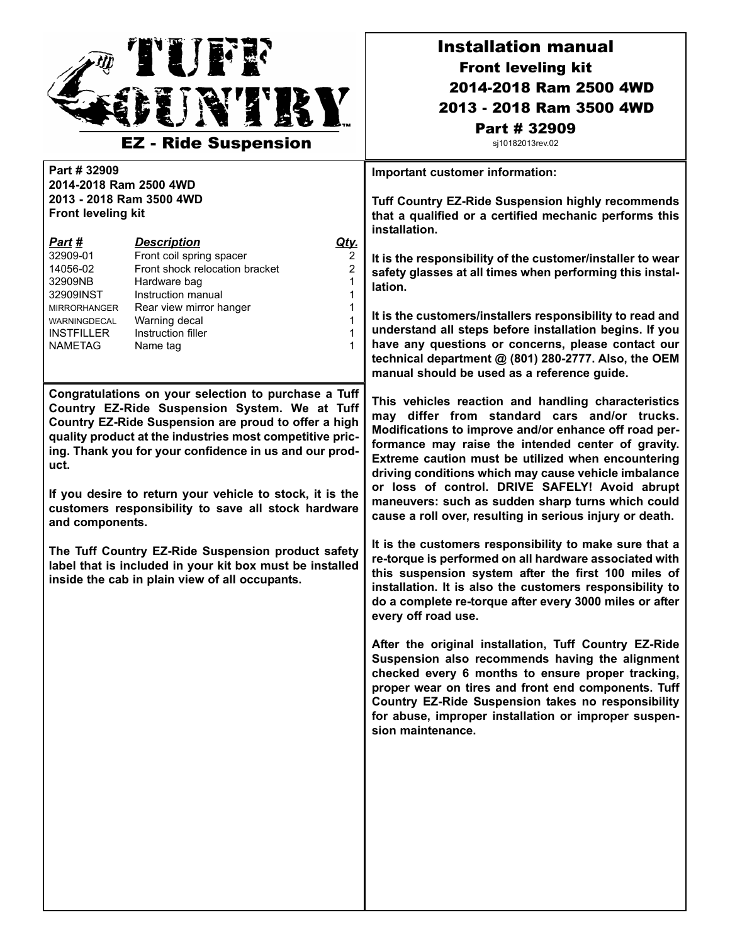

## Installation manual Front leveling kit 2014-2018 Ram 2500 4WD 2013 - 2018 Ram 3500 4WD Part # 32909

sj10182013rev.02

**Part # 32909 2014-2018 Ram 2500 4WD 2013 - 2018 Ram 3500 4WD Front leveling kit** *Part # Description Qty.* 32909-01 Front coil spring spacer 2<br>14056-02 Front shock relocation bracket 2 14056-02 Front shock relocation bracket 2 32909NB Hardware bag 1 32909INST Instruction manual 1 MIRRORHANGER Rear view mirror hanger 1 WARNINGDECAL Warning decal 1 INSTFILLER Instruction filler 1 NAMETAG Name tag 1 **Congratulations on your selection to purchase a Tuff Country EZ-Ride Suspension System. We at Tuff Country EZ-Ride Suspension are proud to offer a high quality product at the industries most competitive pricing. Thank you for your confidence in us and our product. If you desire to return your vehicle to stock, it is the customers responsibility to save all stock hardware and components. The Tuff Country EZ-Ride Suspension product safety label that is included in your kit box must be installed inside the cab in plain view of all occupants. Important customer information: Tuff Country EZ-Ride Suspension highly recommends that a qualified or a certified mechanic performs this installation. It is the responsibility of the customer/installer to wear safety glasses at all times when performing this installation. It is the customers/installers responsibility to read and understand all steps before installation begins. If you have any questions or concerns, please contact our technical department @ (801) 280-2777. Also, the OEM manual should be used as a reference guide. This vehicles reaction and handling characteristics may differ from standard cars and/or trucks. Modifications to improve and/or enhance off road performance may raise the intended center of gravity. Extreme caution must be utilized when encountering driving conditions which may cause vehicle imbalance or loss of control. DRIVE SAFELY! Avoid abrupt maneuvers: such as sudden sharp turns which could cause a roll over, resulting in serious injury or death. It is the customers responsibility to make sure that a re-torque is performed on all hardware associated with this suspension system after the first 100 miles of installation. It is also the customers responsibility to do a complete re-torque after every 3000 miles or after every off road use. After the original installation, Tuff Country EZ-Ride Suspension also recommends having the alignment checked every 6 months to ensure proper tracking, proper wear on tires and front end components. Tuff Country EZ-Ride Suspension takes no responsibility for abuse, improper installation or improper suspension maintenance.**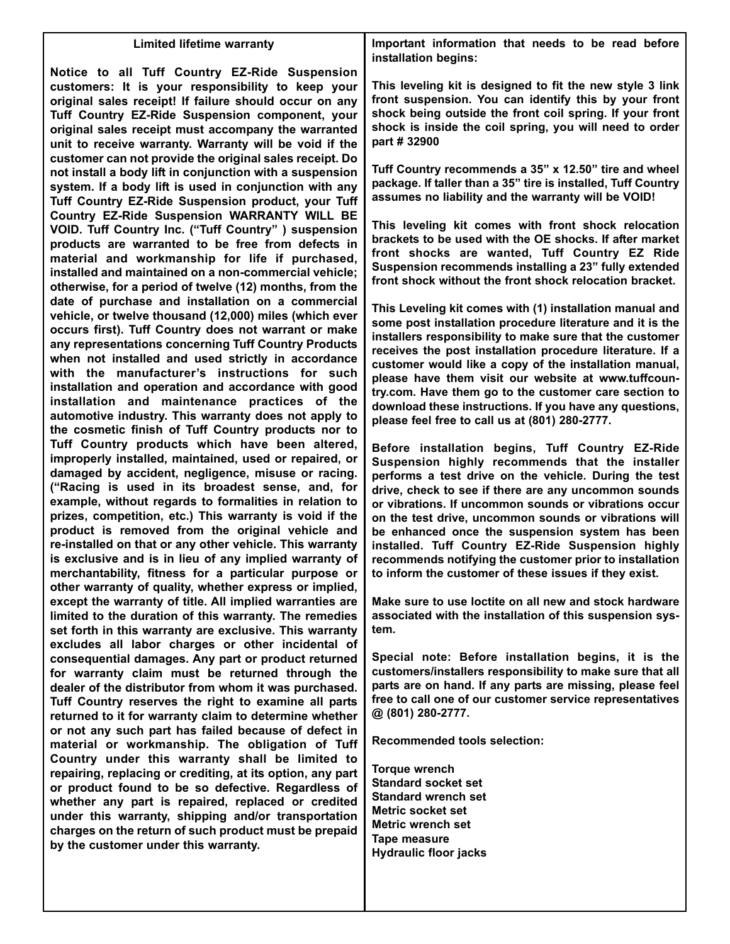## **Limited lifetime warranty Notice to all Tuff Country EZ-Ride Suspension customers: It is your responsibility to keep your original sales receipt! If failure should occur on any Tuff Country EZ-Ride Suspension component, your original sales receipt must accompany the warranted unit to receive warranty. Warranty will be void if the customer can not provide the original sales receipt. Do not install a body lift in conjunction with a suspension system. If a body lift is used in conjunction with any Tuff Country EZ-Ride Suspension product, your Tuff Country EZ-Ride Suspension WARRANTY WILL BE VOID. Tuff Country Inc. ("Tuff Country" ) suspension products are warranted to be free from defects in material and workmanship for life if purchased, installed and maintained on a non-commercial vehicle; otherwise, for a period of twelve (12) months, from the date of purchase and installation on a commercial vehicle, or twelve thousand (12,000) miles (which ever occurs first). Tuff Country does not warrant or make any representations concerning Tuff Country Products when not installed and used strictly in accordance with the manufacturer's instructions for such installation and operation and accordance with good installation and maintenance practices of the automotive industry. This warranty does not apply to the cosmetic finish of Tuff Country products nor to Tuff Country products which have been altered, improperly installed, maintained, used or repaired, or damaged by accident, negligence, misuse or racing. ("Racing is used in its broadest sense, and, for example, without regards to formalities in relation to prizes, competition, etc.) This warranty is void if the product is removed from the original vehicle and re-installed on that or any other vehicle. This warranty is exclusive and is in lieu of any implied warranty of merchantability, fitness for a particular purpose or other warranty of quality, whether express or implied, except the warranty of title. All implied warranties are limited to the duration of this warranty. The remedies set forth in this warranty are exclusive. This warranty excludes all labor charges or other incidental of consequential damages. Any part or product returned for warranty claim must be returned through the dealer of the distributor from whom it was purchased. Tuff Country reserves the right to examine all parts returned to it for warranty claim to determine whether or not any such part has failed because of defect in material or workmanship. The obligation of Tuff Country under this warranty shall be limited to repairing, replacing or crediting, at its option, any part or product found to be so defective. Regardless of whether any part is repaired, replaced or credited under this warranty, shipping and/or transportation charges on the return of such product must be prepaid by the customer under this warranty.**

**Important information that needs to be read before installation begins:**

**This leveling kit is designed to fit the new style 3 link front suspension. You can identify this by your front shock being outside the front coil spring. If your front shock is inside the coil spring, you will need to order part # 32900**

**Tuff Country recommends a 35" x 12.50" tire and wheel package. If taller than a 35" tire is installed, Tuff Country assumes no liability and the warranty will be VOID!**

**This leveling kit comes with front shock relocation brackets to be used with the OE shocks. If after market front shocks are wanted, Tuff Country EZ Ride Suspension recommends installing a 23" fully extended front shock without the front shock relocation bracket.** 

**This Leveling kit comes with (1) installation manual and some post installation procedure literature and it is the installers responsibility to make sure that the customer receives the post installation procedure literature. If a customer would like a copy of the installation manual, please have them visit our website at www.tuffcountry.com. Have them go to the customer care section to download these instructions. If you have any questions, please feel free to call us at (801) 280-2777.**

**Before installation begins, Tuff Country EZ-Ride Suspension highly recommends that the installer performs a test drive on the vehicle. During the test drive, check to see if there are any uncommon sounds or vibrations. If uncommon sounds or vibrations occur on the test drive, uncommon sounds or vibrations will be enhanced once the suspension system has been installed. Tuff Country EZ-Ride Suspension highly recommends notifying the customer prior to installation to inform the customer of these issues if they exist.**

**Make sure to use loctite on all new and stock hardware associated with the installation of this suspension system.**

**Special note: Before installation begins, it is the customers/installers responsibility to make sure that all parts are on hand. If any parts are missing, please feel free to call one of our customer service representatives @ (801) 280-2777.**

**Recommended tools selection:**

**Torque wrench Standard socket set Standard wrench set Metric socket set Metric wrench set Tape measure Hydraulic floor jacks**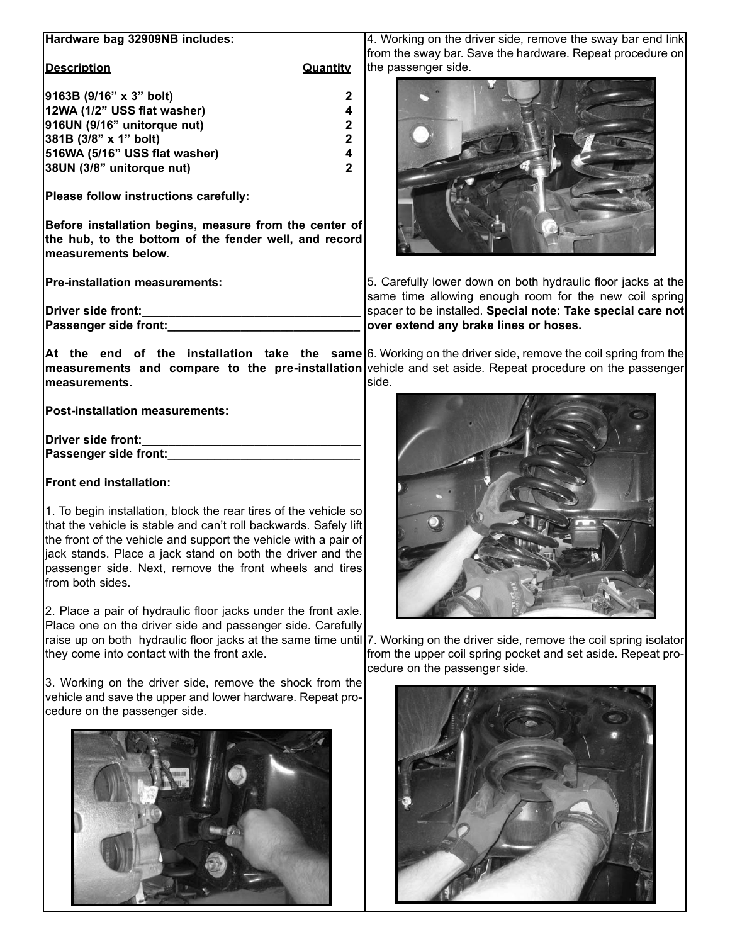| Hardware bag 32909NB includes:                                                                                                                                                                                                                                                                                                                                                  | 4. Working on the driver side, remove the sway bar end link<br>from the sway bar. Save the hardware. Repeat procedure on                                                                                                          |
|---------------------------------------------------------------------------------------------------------------------------------------------------------------------------------------------------------------------------------------------------------------------------------------------------------------------------------------------------------------------------------|-----------------------------------------------------------------------------------------------------------------------------------------------------------------------------------------------------------------------------------|
| <b>Description</b><br>Quantity                                                                                                                                                                                                                                                                                                                                                  | the passenger side.                                                                                                                                                                                                               |
| 9163B (9/16" x 3" bolt)<br>2<br>12WA (1/2" USS flat washer)<br>4<br>916UN (9/16" unitorque nut)<br>2<br>381B (3/8" x 1" bolt)<br>2<br>516WA (5/16" USS flat washer)<br>4<br>38UN (3/8" unitorque nut)<br>$\mathbf{2}$                                                                                                                                                           |                                                                                                                                                                                                                                   |
| Please follow instructions carefully:<br>Before installation begins, measure from the center of<br>the hub, to the bottom of the fender well, and record                                                                                                                                                                                                                        |                                                                                                                                                                                                                                   |
| measurements below.                                                                                                                                                                                                                                                                                                                                                             |                                                                                                                                                                                                                                   |
| <b>Pre-installation measurements:</b>                                                                                                                                                                                                                                                                                                                                           | 5. Carefully lower down on both hydraulic floor jacks at the<br>same time allowing enough room for the new coil spring                                                                                                            |
| Driver side front:                                                                                                                                                                                                                                                                                                                                                              | spacer to be installed. Special note: Take special care not                                                                                                                                                                       |
| Passenger side front:                                                                                                                                                                                                                                                                                                                                                           | over extend any brake lines or hoses.                                                                                                                                                                                             |
| measurements.                                                                                                                                                                                                                                                                                                                                                                   | At the end of the installation take the same 6. Working on the driver side, remove the coil spring from the<br>measurements and compare to the pre-installation vehicle and set aside. Repeat procedure on the passenger<br>side. |
| Post-installation measurements:                                                                                                                                                                                                                                                                                                                                                 |                                                                                                                                                                                                                                   |
| Driver side front:                                                                                                                                                                                                                                                                                                                                                              |                                                                                                                                                                                                                                   |
| Passenger side front:                                                                                                                                                                                                                                                                                                                                                           |                                                                                                                                                                                                                                   |
| Front end installation:<br>1. To begin installation, block the rear tires of the vehicle so<br>that the vehicle is stable and can't roll backwards. Safely lift<br>the front of the vehicle and support the vehicle with a pair of<br>jack stands. Place a jack stand on both the driver and the<br>passenger side. Next, remove the front wheels and tires<br>from both sides. |                                                                                                                                                                                                                                   |
| 2. Place a pair of hydraulic floor jacks under the front axle.<br>Place one on the driver side and passenger side. Carefully<br>they come into contact with the front axle.                                                                                                                                                                                                     | raise up on both hydraulic floor jacks at the same time until 7. Working on the driver side, remove the coil spring isolator<br>from the upper coil spring pocket and set aside. Repeat pro-                                      |
| 3. Working on the driver side, remove the shock from the<br>vehicle and save the upper and lower hardware. Repeat pro-<br>cedure on the passenger side.                                                                                                                                                                                                                         | cedure on the passenger side.                                                                                                                                                                                                     |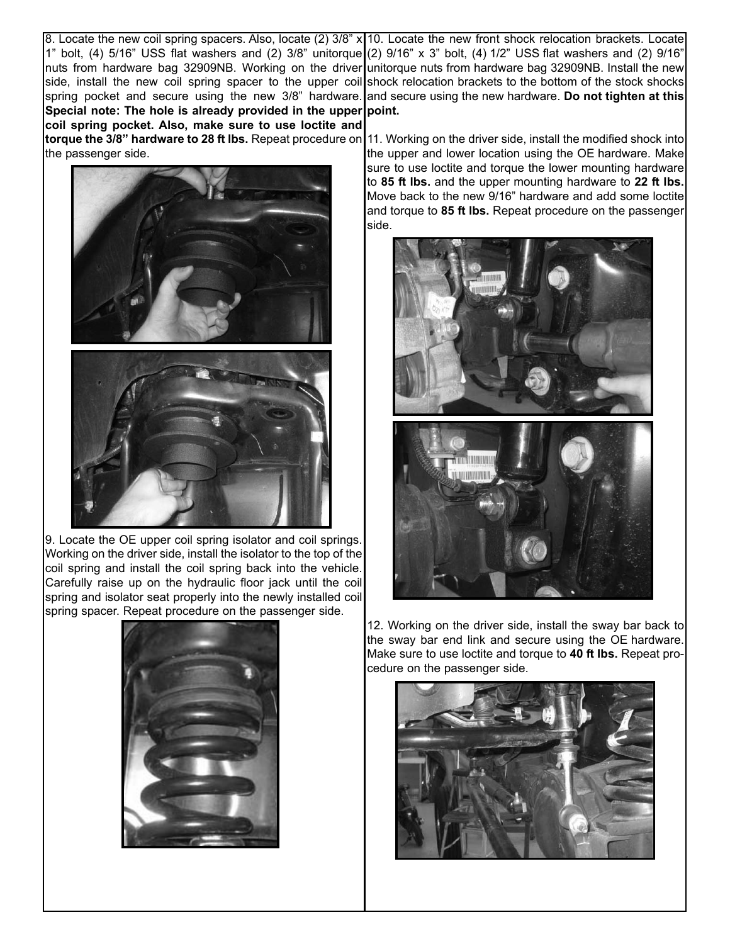8. Locate the new coil spring spacers. Also, locate (2)  $3/8$ " x|10. Locate the new front shock relocation brackets. Locate 1" bolt, (4) 5/16" USS flat washers and (2) 3/8" unitorque (2) 9/16" x 3" bolt, (4) 1/2" USS flat washers and (2) 9/16" nuts from hardware bag 32909NB. Working on the driver|unitorque nuts from hardware bag 32909NB. Install the new side, install the new coil spring spacer to the upper coil shock relocation brackets to the bottom of the stock shocks spring pocket and secure using the new 3/8" hardware.**|**and secure using the new hardware. **Do not tighten at this** Special note: The hole is already provided in the upper point.

**coil spring pocket. Also, make sure to use loctite and torque the 3/8" hardware to 28 ft lbs.** Repeat procedure on 11. Working on the driver side, install the modified shock into the passenger side.



9. Locate the OE upper coil spring isolator and coil springs. Working on the driver side, install the isolator to the top of the coil spring and install the coil spring back into the vehicle. Carefully raise up on the hydraulic floor jack until the coil spring and isolator seat properly into the newly installed coil spring spacer. Repeat procedure on the passenger side.



the upper and lower location using the OE hardware. Make sure to use loctite and torque the lower mounting hardware to **85 ft lbs.** and the upper mounting hardware to **22 ft lbs.** Move back to the new 9/16" hardware and add some loctite and torque to **85 ft lbs.** Repeat procedure on the passenger side.



12. Working on the driver side, install the sway bar back to the sway bar end link and secure using the OE hardware. Make sure to use loctite and torque to **40 ft lbs.** Repeat procedure on the passenger side.